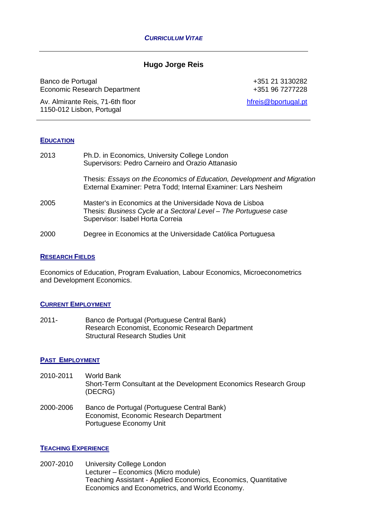## **Hugo Jorge Reis**

Banco de Portugal Economic Research Department

Av. Almirante Reis, 71-6th floor 1150-012 Lisbon, Portugal

+351 21 3130282 +351 96 7277228

[hfreis@bportugal.pt](mailto:hfreis@bportugal.pt)

#### **EDUCATION**

| 2013 | Ph.D. in Economics, University College London<br>Supervisors: Pedro Carneiro and Orazio Attanasio                                                                |
|------|------------------------------------------------------------------------------------------------------------------------------------------------------------------|
|      | Thesis: Essays on the Economics of Education, Development and Migration<br>External Examiner: Petra Todd; Internal Examiner: Lars Nesheim                        |
| 2005 | Master's in Economics at the Universidade Nova de Lisboa<br>Thesis: Business Cycle at a Sectoral Level - The Portuguese case<br>Supervisor: Isabel Horta Correia |
| 2000 | Degree in Economics at the Universidade Católica Portuguesa                                                                                                      |

#### **RESEARCH FIELDS**

Economics of Education, Program Evaluation, Labour Economics, Microeconometrics and Development Economics.

#### **CURRENT EMPLOYMENT**

2011- Banco de Portugal (Portuguese Central Bank) Research Economist, Economic Research Department Structural Research Studies Unit

### **PAST EMPLOYMENT**

- 2010-2011 World Bank Short-Term Consultant at the Development Economics Research Group (DECRG)
- 2000-2006 Banco de Portugal (Portuguese Central Bank) Economist, Economic Research Department Portuguese Economy Unit

### **TEACHING EXPERIENCE**

2007-2010 University College London Lecturer – Economics (Micro module) Teaching Assistant - Applied Economics, Economics, Quantitative Economics and Econometrics, and World Economy.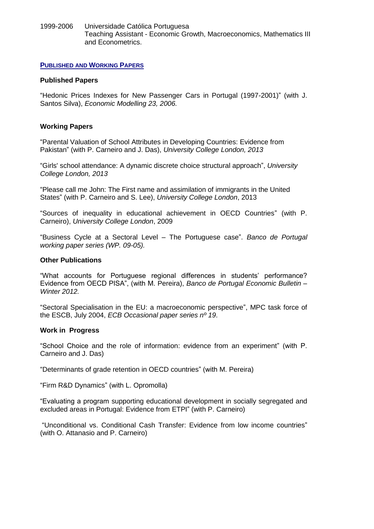1999-2006 Universidade Católica Portuguesa Teaching Assistant - Economic Growth, Macroeconomics, Mathematics III and Econometrics.

### **PUBLISHED AND WORKING PAPERS**

### **Published Papers**

"Hedonic Prices Indexes for New Passenger Cars in Portugal (1997-2001)" (with J. Santos Silva), *Economic Modelling 23, 2006.*

### **Working Papers**

"Parental Valuation of School Attributes in Developing Countries: Evidence from Pakistan" (with P. Carneiro and J. Das), *University College London, 2013*

"Girls' school attendance: A dynamic discrete choice structural approach", *University College London, 2013*

"Please call me John: The First name and assimilation of immigrants in the United States" (with P. Carneiro and S. Lee), *University College London*, 2013

"Sources of inequality in educational achievement in OECD Countries" (with P. Carneiro), *University College London*, 2009

"Business Cycle at a Sectoral Level – The Portuguese case". *Banco de Portugal working paper series (WP. 09-05).*

### **Other Publications**

"What accounts for Portuguese regional differences in students' performance? Evidence from OECD PISA", (with M. Pereira), *Banco de Portugal Economic Bulletin – Winter 2012.*

"Sectoral Specialisation in the EU: a macroeconomic perspective", MPC task force of the ESCB, July 2004, *ECB Occasional paper series nº 19*.

### **Work in Progress**

"School Choice and the role of information: evidence from an experiment" (with P. Carneiro and J. Das)

"Determinants of grade retention in OECD countries" (with M. Pereira)

"Firm R&D Dynamics" (with L. Opromolla)

"Evaluating a program supporting educational development in socially segregated and excluded areas in Portugal: Evidence from ETPI" (with P. Carneiro)

"Unconditional vs. Conditional Cash Transfer: Evidence from low income countries" (with O. Attanasio and P. Carneiro)